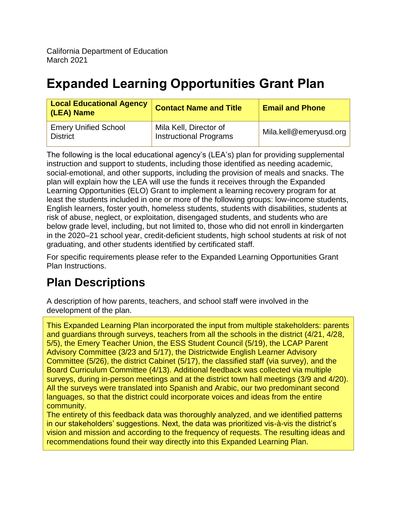# **Expanded Learning Opportunities Grant Plan**

| <b>Local Educational Agency</b><br>(LEA) Name  | <b>Contact Name and Title</b>                           | <b>Email and Phone</b> |
|------------------------------------------------|---------------------------------------------------------|------------------------|
| <b>Emery Unified School</b><br><b>District</b> | Mila Kell, Director of<br><b>Instructional Programs</b> | Mila.kell@emeryusd.org |

The following is the local educational agency's (LEA's) plan for providing supplemental instruction and support to students, including those identified as needing academic, social-emotional, and other supports, including the provision of meals and snacks. The plan will explain how the LEA will use the funds it receives through the Expanded Learning Opportunities (ELO) Grant to implement a learning recovery program for at least the students included in one or more of the following groups: low-income students, English learners, foster youth, homeless students, students with disabilities, students at risk of abuse, neglect, or exploitation, disengaged students, and students who are below grade level, including, but not limited to, those who did not enroll in kindergarten in the 2020–21 school year, credit-deficient students, high school students at risk of not graduating, and other students identified by certificated staff.

For specific requirements please refer to the Expanded Learning Opportunities Grant Plan Instructions.

# **Plan Descriptions**

A description of how parents, teachers, and school staff were involved in the development of the plan.

This Expanded Learning Plan incorporated the input from multiple stakeholders: parents and guardians through surveys, teachers from all the schools in the district (4/21, 4/28, 5/5), the Emery Teacher Union, the ESS Student Council (5/19), the LCAP Parent Advisory Committee (3/23 and 5/17), the Districtwide English Learner Advisory Committee (5/26), the district Cabinet (5/17), the classified staff (via survey), and the Board Curriculum Committee (4/13). Additional feedback was collected via multiple surveys, during in-person meetings and at the district town hall meetings (3/9 and 4/20). All the surveys were translated into Spanish and Arabic, our two predominant second languages, so that the district could incorporate voices and ideas from the entire community.

The entirety of this feedback data was thoroughly analyzed, and we identified patterns in our stakeholders' suggestions. Next, the data was prioritized vis-à-vis the district's vision and mission and according to the frequency of requests. The resulting ideas and recommendations found their way directly into this Expanded Learning Plan.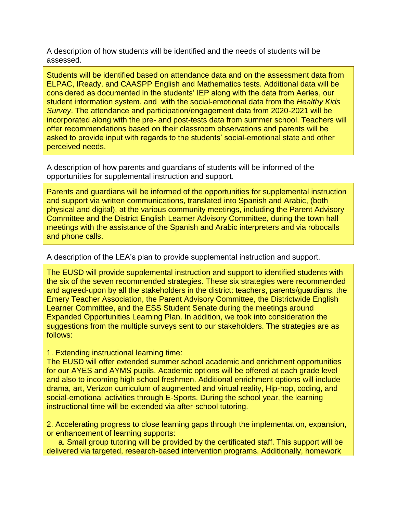A description of how students will be identified and the needs of students will be assessed.

Students will be identified based on attendance data and on the assessment data from ELPAC, IReady, and CAASPP English and Mathematics tests. Additional data will be considered as documented in the students' IEP along with the data from Aeries, our student information system, and with the social-emotional data from the *Healthy Kids Survey*. The attendance and participation/engagement data from 2020-2021 will be incorporated along with the pre- and post-tests data from summer school. Teachers will offer recommendations based on their classroom observations and parents will be asked to provide input with regards to the students' social-emotional state and other perceived needs.

A description of how parents and guardians of students will be informed of the opportunities for supplemental instruction and support.

Parents and guardians will be informed of the opportunities for supplemental instruction and support via written communications, translated into Spanish and Arabic, (both physical and digital), at the various community meetings, including the Parent Advisory Committee and the District English Learner Advisory Committee, during the town hall meetings with the assistance of the Spanish and Arabic interpreters and via robocalls and phone calls.

#### A description of the LEA's plan to provide supplemental instruction and support.

The EUSD will provide supplemental instruction and support to identified students with the six of the seven recommended strategies. These six strategies were recommended and agreed-upon by all the stakeholders in the district: teachers, parents/guardians, the Emery Teacher Association, the Parent Advisory Committee, the Districtwide English Learner Committee, and the ESS Student Senate during the meetings around Expanded Opportunities Learning Plan. In addition, we took into consideration the suggestions from the multiple surveys sent to our stakeholders. The strategies are as follows:

#### 1. Extending instructional learning time:

The EUSD will offer extended summer school academic and enrichment opportunities for our AYES and AYMS pupils. Academic options will be offered at each grade level and also to incoming high school freshmen. Additional enrichment options will include drama, art, Verizon curriculum of augmented and virtual reality, Hip-hop, coding, and social-emotional activities through E-Sports. During the school year, the learning instructional time will be extended via after-school tutoring.

2. Accelerating progress to close learning gaps through the implementation, expansion, or enhancement of learning supports:

a. Small group tutoring will be provided by the certificated staff. This support will be delivered via targeted, research-based intervention programs. Additionally, homework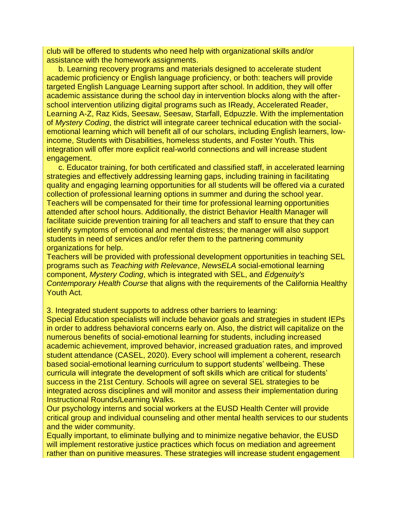club will be offered to students who need help with organizational skills and/or assistance with the homework assignments.

b. Learning recovery programs and materials designed to accelerate student academic proficiency or English language proficiency, or both: teachers will provide targeted English Language Learning support after school. In addition, they will offer academic assistance during the school day in intervention blocks along with the afterschool intervention utilizing digital programs such as IReady, Accelerated Reader, Learning A-Z, Raz Kids, Seesaw, Seesaw, Starfall, Edpuzzle. With the implementation of *Mystery Coding*, the district will integrate career technical education with the socialemotional learning which will benefit all of our scholars, including English learners, lowincome, Students with Disabilities, homeless students, and Foster Youth. This integration will offer more explicit real-world connections and will increase student engagement.

c. Educator training, for both certificated and classified staff, in accelerated learning strategies and effectively addressing learning gaps, including training in facilitating quality and engaging learning opportunities for all students will be offered via a curated collection of professional learning options in summer and during the school year. Teachers will be compensated for their time for professional learning opportunities attended after school hours. Additionally, the district Behavior Health Manager will facilitate suicide prevention training for all teachers and staff to ensure that they can identify symptoms of emotional and mental distress; the manager will also support students in need of services and/or refer them to the partnering community organizations for help.

Teachers will be provided with professional development opportunities in teaching SEL programs such as *Teaching with Relevance*, *NewsELA* social-emotional learning component, *Mystery Coding*, which is integrated with SEL, and *Edgenuity's Contemporary Health Course* that aligns with the requirements of the California Healthy Youth Act.

3. Integrated student supports to address other barriers to learning:

Special Education specialists will include behavior goals and strategies in student IEPs in order to address behavioral concerns early on. Also, the district will capitalize on the numerous benefits of social-emotional learning for students, including increased academic achievement, improved behavior, increased graduation rates, and improved student attendance (CASEL, 2020). Every school will implement a coherent, research based social-emotional learning curriculum to support students' wellbeing. These curricula will integrate the development of soft skills which are critical for students' success in the 21st Century. Schools will agree on several SEL strategies to be integrated across disciplines and will monitor and assess their implementation during Instructional Rounds/Learning Walks.

Our psychology interns and social workers at the EUSD Health Center will provide critical group and individual counseling and other mental health services to our students and the wider community.

Equally important, to eliminate bullying and to minimize negative behavior, the EUSD will implement restorative justice practices which focus on mediation and agreement rather than on punitive measures. These strategies will increase student engagement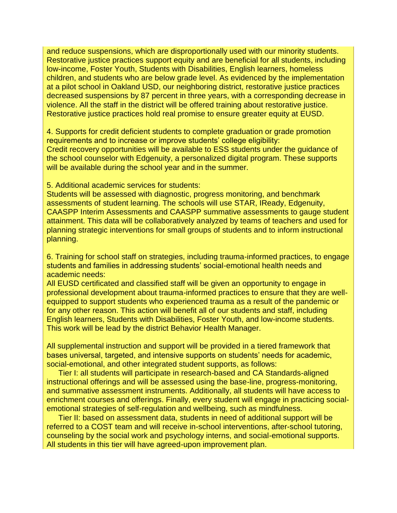and reduce suspensions, which are disproportionally used with our minority students. Restorative justice practices support equity and are beneficial for all students, including low-income, Foster Youth, Students with Disabilities, English learners, homeless children, and students who are below grade level. As evidenced by the implementation at a pilot school in Oakland USD, our neighboring district, restorative justice practices decreased suspensions by 87 percent in three years, with a corresponding decrease in violence. All the staff in the district will be offered training about restorative justice. Restorative justice practices hold real promise to ensure greater equity at EUSD.

4. Supports for credit deficient students to complete graduation or grade promotion requirements and to increase or improve students' college eligibility: Credit recovery opportunities will be available to ESS students under the guidance of the school counselor with Edgenuity, a personalized digital program. These supports will be available during the school year and in the summer.

5. Additional academic services for students:

Students will be assessed with diagnostic, progress monitoring, and benchmark assessments of student learning. The schools will use STAR, IReady, Edgenuity, CAASPP Interim Assessments and CAASPP summative assessments to gauge student attainment. This data will be collaboratively analyzed by teams of teachers and used for planning strategic interventions for small groups of students and to inform instructional planning.

6. Training for school staff on strategies, including trauma-informed practices, to engage students and families in addressing students' social-emotional health needs and academic needs:

All EUSD certificated and classified staff will be given an opportunity to engage in professional development about trauma-informed practices to ensure that they are wellequipped to support students who experienced trauma as a result of the pandemic or for any other reason. This action will benefit all of our students and staff, including English learners, Students with Disabilities, Foster Youth, and low-income students. This work will be lead by the district Behavior Health Manager.

All supplemental instruction and support will be provided in a tiered framework that bases universal, targeted, and intensive supports on students' needs for academic, social-emotional, and other integrated student supports, as follows:

Tier I: all students will participate in research-based and CA Standards-aligned instructional offerings and will be assessed using the base-line, progress-monitoring, and summative assessment instruments. Additionally, all students will have access to enrichment courses and offerings. Finally, every student will engage in practicing socialemotional strategies of self-regulation and wellbeing, such as mindfulness.

Tier II: based on assessment data, students in need of additional support will be referred to a COST team and will receive in-school interventions, after-school tutoring, counseling by the social work and psychology interns, and social-emotional supports. All students in this tier will have agreed-upon improvement plan.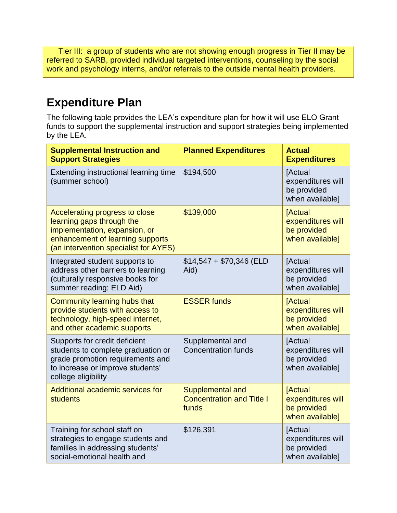Tier III: a group of students who are not showing enough progress in Tier II may be referred to SARB, provided individual targeted interventions, counseling by the social work and psychology interns, and/or referrals to the outside mental health providers.

### **Expenditure Plan**

The following table provides the LEA's expenditure plan for how it will use ELO Grant funds to support the supplemental instruction and support strategies being implemented by the LEA.

| <b>Supplemental Instruction and</b><br><b>Support Strategies</b>                                                                                                          | <b>Planned Expenditures</b>                                   | <b>Actual</b><br><b>Expenditures</b>                                  |
|---------------------------------------------------------------------------------------------------------------------------------------------------------------------------|---------------------------------------------------------------|-----------------------------------------------------------------------|
| Extending instructional learning time<br>(summer school)                                                                                                                  | \$194,500                                                     | [Actual<br>expenditures will<br>be provided<br>when available]        |
| Accelerating progress to close<br>learning gaps through the<br>implementation, expansion, or<br>enhancement of learning supports<br>(an intervention specialist for AYES) | \$139,000                                                     | <b>Actual</b><br>expenditures will<br>be provided<br>when available]  |
| Integrated student supports to<br>address other barriers to learning<br>(culturally responsive books for<br>summer reading; ELD Aid)                                      | $$14,547 + $70,346$ (ELD<br>Aid)                              | [Actual<br>expenditures will<br>be provided<br>when available]        |
| Community learning hubs that<br>provide students with access to<br>technology, high-speed internet,<br>and other academic supports                                        | <b>ESSER funds</b>                                            | <b>[Actual</b><br>expenditures will<br>be provided<br>when available] |
| Supports for credit deficient<br>students to complete graduation or<br>grade promotion requirements and<br>to increase or improve students'<br>college eligibility        | Supplemental and<br><b>Concentration funds</b>                | [Actual<br>expenditures will<br>be provided<br>when available]        |
| Additional academic services for<br>students                                                                                                                              | Supplemental and<br><b>Concentration and Title I</b><br>funds | <b>[Actual</b><br>expenditures will<br>be provided<br>when available] |
| Training for school staff on<br>strategies to engage students and<br>families in addressing students'<br>social-emotional health and                                      | \$126,391                                                     | [Actual<br>expenditures will<br>be provided<br>when available]        |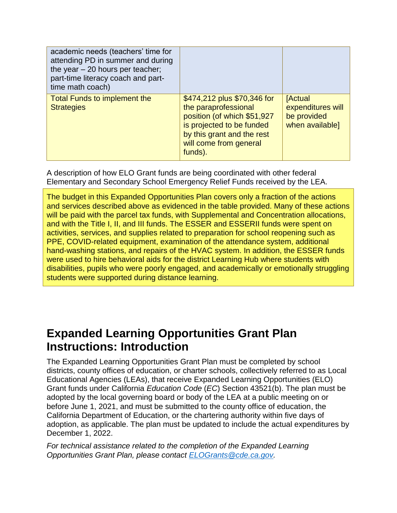| academic needs (teachers' time for<br>attending PD in summer and during<br>the year $-20$ hours per teacher;<br>part-time literacy coach and part-<br>time math coach) |                                                                                                                                                                                    |                                                                       |
|------------------------------------------------------------------------------------------------------------------------------------------------------------------------|------------------------------------------------------------------------------------------------------------------------------------------------------------------------------------|-----------------------------------------------------------------------|
| <b>Total Funds to implement the</b><br><b>Strategies</b>                                                                                                               | \$474,212 plus \$70,346 for<br>the paraprofessional<br>position (of which \$51,927<br>is projected to be funded<br>by this grant and the rest<br>will come from general<br>funds). | <b>[Actual</b><br>expenditures will<br>be provided<br>when available] |

A description of how ELO Grant funds are being coordinated with other federal Elementary and Secondary School Emergency Relief Funds received by the LEA.

The budget in this Expanded Opportunities Plan covers only a fraction of the actions and services described above as evidenced in the table provided. Many of these actions will be paid with the parcel tax funds, with Supplemental and Concentration allocations, and with the Title I, II, and III funds. The ESSER and ESSERII funds were spent on activities, services, and supplies related to preparation for school reopening such as PPE, COVID-related equipment, examination of the attendance system, additional hand-washing stations, and repairs of the HVAC system. In addition, the ESSER funds were used to hire behavioral aids for the district Learning Hub where students with disabilities, pupils who were poorly engaged, and academically or emotionally struggling students were supported during distance learning.

### **Expanded Learning Opportunities Grant Plan Instructions: Introduction**

The Expanded Learning Opportunities Grant Plan must be completed by school districts, county offices of education, or charter schools, collectively referred to as Local Educational Agencies (LEAs), that receive Expanded Learning Opportunities (ELO) Grant funds under California *Education Code* (*EC*) Section 43521(b). The plan must be adopted by the local governing board or body of the LEA at a public meeting on or before June 1, 2021, and must be submitted to the county office of education, the California Department of Education, or the chartering authority within five days of adoption, as applicable. The plan must be updated to include the actual expenditures by December 1, 2022.

*For technical assistance related to the completion of the Expanded Learning Opportunities Grant Plan, please contact [ELOGrants@cde.ca.gov.](mailto:ELOGrants@cde.ca.gov)*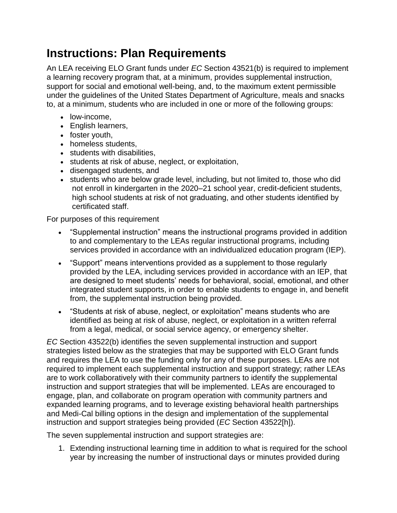### **Instructions: Plan Requirements**

An LEA receiving ELO Grant funds under *EC* Section 43521(b) is required to implement a learning recovery program that, at a minimum, provides supplemental instruction, support for social and emotional well-being, and, to the maximum extent permissible under the guidelines of the United States Department of Agriculture, meals and snacks to, at a minimum, students who are included in one or more of the following groups:

- low-income,
- English learners,
- foster youth,
- homeless students,
- students with disabilities,
- students at risk of abuse, neglect, or exploitation,
- disengaged students, and
- students who are below grade level, including, but not limited to, those who did not enroll in kindergarten in the 2020–21 school year, credit-deficient students, high school students at risk of not graduating, and other students identified by certificated staff.

For purposes of this requirement

- "Supplemental instruction" means the instructional programs provided in addition to and complementary to the LEAs regular instructional programs, including services provided in accordance with an individualized education program (IEP).
- "Support" means interventions provided as a supplement to those regularly provided by the LEA, including services provided in accordance with an IEP, that are designed to meet students' needs for behavioral, social, emotional, and other integrated student supports, in order to enable students to engage in, and benefit from, the supplemental instruction being provided.
- "Students at risk of abuse, neglect, or exploitation" means students who are identified as being at risk of abuse, neglect, or exploitation in a written referral from a legal, medical, or social service agency, or emergency shelter.

*EC* Section 43522(b) identifies the seven supplemental instruction and support strategies listed below as the strategies that may be supported with ELO Grant funds and requires the LEA to use the funding only for any of these purposes. LEAs are not required to implement each supplemental instruction and support strategy; rather LEAs are to work collaboratively with their community partners to identify the supplemental instruction and support strategies that will be implemented. LEAs are encouraged to engage, plan, and collaborate on program operation with community partners and expanded learning programs, and to leverage existing behavioral health partnerships and Medi-Cal billing options in the design and implementation of the supplemental instruction and support strategies being provided (*EC* Section 43522[h]).

The seven supplemental instruction and support strategies are:

1. Extending instructional learning time in addition to what is required for the school year by increasing the number of instructional days or minutes provided during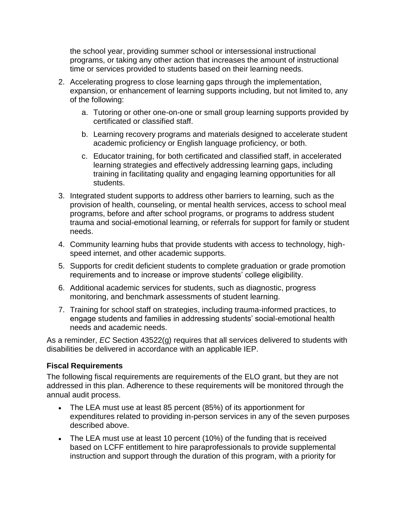the school year, providing summer school or intersessional instructional programs, or taking any other action that increases the amount of instructional time or services provided to students based on their learning needs.

- 2. Accelerating progress to close learning gaps through the implementation, expansion, or enhancement of learning supports including, but not limited to, any of the following:
	- a. Tutoring or other one-on-one or small group learning supports provided by certificated or classified staff.
	- b. Learning recovery programs and materials designed to accelerate student academic proficiency or English language proficiency, or both.
	- c. Educator training, for both certificated and classified staff, in accelerated learning strategies and effectively addressing learning gaps, including training in facilitating quality and engaging learning opportunities for all students.
- 3. Integrated student supports to address other barriers to learning, such as the provision of health, counseling, or mental health services, access to school meal programs, before and after school programs, or programs to address student trauma and social-emotional learning, or referrals for support for family or student needs.
- 4. Community learning hubs that provide students with access to technology, highspeed internet, and other academic supports.
- 5. Supports for credit deficient students to complete graduation or grade promotion requirements and to increase or improve students' college eligibility.
- 6. Additional academic services for students, such as diagnostic, progress monitoring, and benchmark assessments of student learning.
- 7. Training for school staff on strategies, including trauma-informed practices, to engage students and families in addressing students' social-emotional health needs and academic needs.

As a reminder, *EC* Section 43522(g) requires that all services delivered to students with disabilities be delivered in accordance with an applicable IEP.

### **Fiscal Requirements**

The following fiscal requirements are requirements of the ELO grant, but they are not addressed in this plan. Adherence to these requirements will be monitored through the annual audit process.

- The LEA must use at least 85 percent (85%) of its apportionment for expenditures related to providing in-person services in any of the seven purposes described above.
- The LEA must use at least 10 percent (10%) of the funding that is received based on LCFF entitlement to hire paraprofessionals to provide supplemental instruction and support through the duration of this program, with a priority for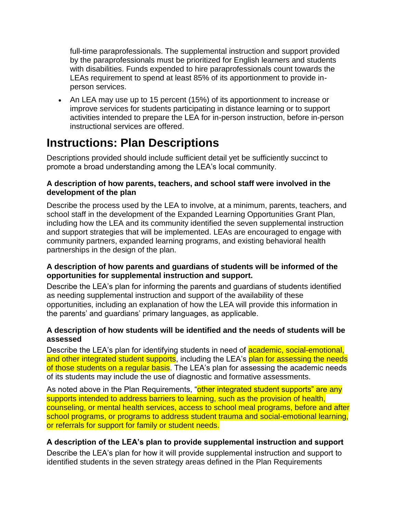full-time paraprofessionals. The supplemental instruction and support provided by the paraprofessionals must be prioritized for English learners and students with disabilities. Funds expended to hire paraprofessionals count towards the LEAs requirement to spend at least 85% of its apportionment to provide inperson services.

• An LEA may use up to 15 percent (15%) of its apportionment to increase or improve services for students participating in distance learning or to support activities intended to prepare the LEA for in-person instruction, before in-person instructional services are offered.

### **Instructions: Plan Descriptions**

Descriptions provided should include sufficient detail yet be sufficiently succinct to promote a broad understanding among the LEA's local community.

### **A description of how parents, teachers, and school staff were involved in the development of the plan**

Describe the process used by the LEA to involve, at a minimum, parents, teachers, and school staff in the development of the Expanded Learning Opportunities Grant Plan, including how the LEA and its community identified the seven supplemental instruction and support strategies that will be implemented. LEAs are encouraged to engage with community partners, expanded learning programs, and existing behavioral health partnerships in the design of the plan.

### **A description of how parents and guardians of students will be informed of the opportunities for supplemental instruction and support.**

Describe the LEA's plan for informing the parents and guardians of students identified as needing supplemental instruction and support of the availability of these opportunities, including an explanation of how the LEA will provide this information in the parents' and guardians' primary languages, as applicable.

### **A description of how students will be identified and the needs of students will be assessed**

Describe the LEA's plan for identifying students in need of **academic, social-emotional.** and other integrated student supports, including the LEA's plan for assessing the needs of those students on a regular basis. The LEA's plan for assessing the academic needs of its students may include the use of diagnostic and formative assessments.

As noted above in the Plan Requirements, "other integrated student supports" are any supports intended to address barriers to learning, such as the provision of health, counseling, or mental health services, access to school meal programs, before and after school programs, or programs to address student trauma and social-emotional learning, or referrals for support for family or student needs.

### **A description of the LEA's plan to provide supplemental instruction and support**

Describe the LEA's plan for how it will provide supplemental instruction and support to identified students in the seven strategy areas defined in the Plan Requirements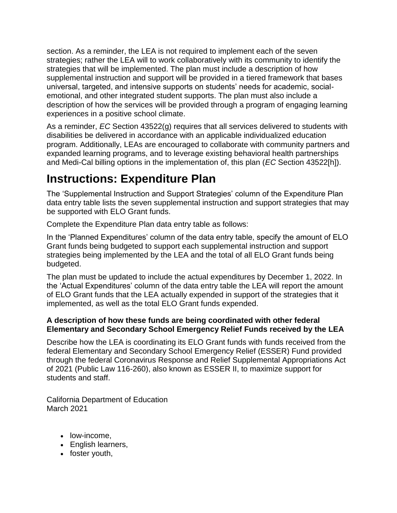section. As a reminder, the LEA is not required to implement each of the seven strategies; rather the LEA will to work collaboratively with its community to identify the strategies that will be implemented. The plan must include a description of how supplemental instruction and support will be provided in a tiered framework that bases universal, targeted, and intensive supports on students' needs for academic, socialemotional, and other integrated student supports. The plan must also include a description of how the services will be provided through a program of engaging learning experiences in a positive school climate.

As a reminder, *EC* Section 43522(g) requires that all services delivered to students with disabilities be delivered in accordance with an applicable individualized education program. Additionally, LEAs are encouraged to collaborate with community partners and expanded learning programs, and to leverage existing behavioral health partnerships and Medi-Cal billing options in the implementation of, this plan (*EC* Section 43522[h]).

## **Instructions: Expenditure Plan**

The 'Supplemental Instruction and Support Strategies' column of the Expenditure Plan data entry table lists the seven supplemental instruction and support strategies that may be supported with ELO Grant funds.

Complete the Expenditure Plan data entry table as follows:

In the 'Planned Expenditures' column of the data entry table, specify the amount of ELO Grant funds being budgeted to support each supplemental instruction and support strategies being implemented by the LEA and the total of all ELO Grant funds being budgeted.

The plan must be updated to include the actual expenditures by December 1, 2022. In the 'Actual Expenditures' column of the data entry table the LEA will report the amount of ELO Grant funds that the LEA actually expended in support of the strategies that it implemented, as well as the total ELO Grant funds expended.

### **A description of how these funds are being coordinated with other federal Elementary and Secondary School Emergency Relief Funds received by the LEA**

Describe how the LEA is coordinating its ELO Grant funds with funds received from the federal Elementary and Secondary School Emergency Relief (ESSER) Fund provided through the federal Coronavirus Response and Relief Supplemental Appropriations Act of 2021 (Public Law 116-260), also known as ESSER II, to maximize support for students and staff.

California Department of Education March 2021

- low-income.
- English learners,
- foster youth,